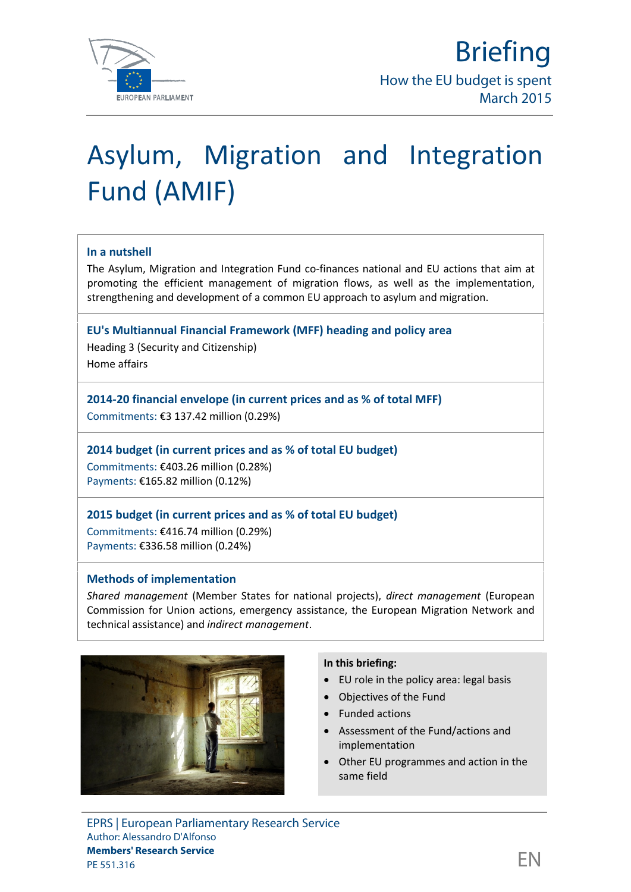

# Asylum, Migration and Integration Fund (AMIF)

#### **In a nutshell**

The Asylum, Migration and Integration Fund co-finances national and EU actions that aim at promoting the efficient management of migration flows, as well as the implementation, strengthening and development of a common EU approach to asylum and migration.

#### **EU's Multiannual Financial Framework (MFF) heading and policy area**

Heading 3 (Security and Citizenship) Home affairs

## **2014-20 financial envelope (in current prices and as % of total MFF)**

Commitments: €3 137.42 million (0.29%)

## **2014 budget (in current prices and as % of total EU budget)**

Commitments: €403.26 million (0.28%) Payments: €165.82 million (0.12%)

## **2015 budget (in current prices and as % of total EU budget)**

Commitments: €416.74 million (0.29%) Payments: €336.58 million (0.24%)

#### **Methods of implementation**

*Shared management* (Member States for national projects), *direct management* (European Commission for Union actions, emergency assistance, the European Migration Network and technical assistance) and *indirect management*.



#### **In this briefing:**

- EU role in the policy area: legal basis
- Objectives of the Fund
- Funded actions
- Assessment of the Fund/actions and implementation
- Other EU programmes and action in the same field

EPRS | European Parliamentary Research Service Author: Alessandro D'Alfonso **Members' Research Service** members Research Service<br>PE 551.316  $\Box$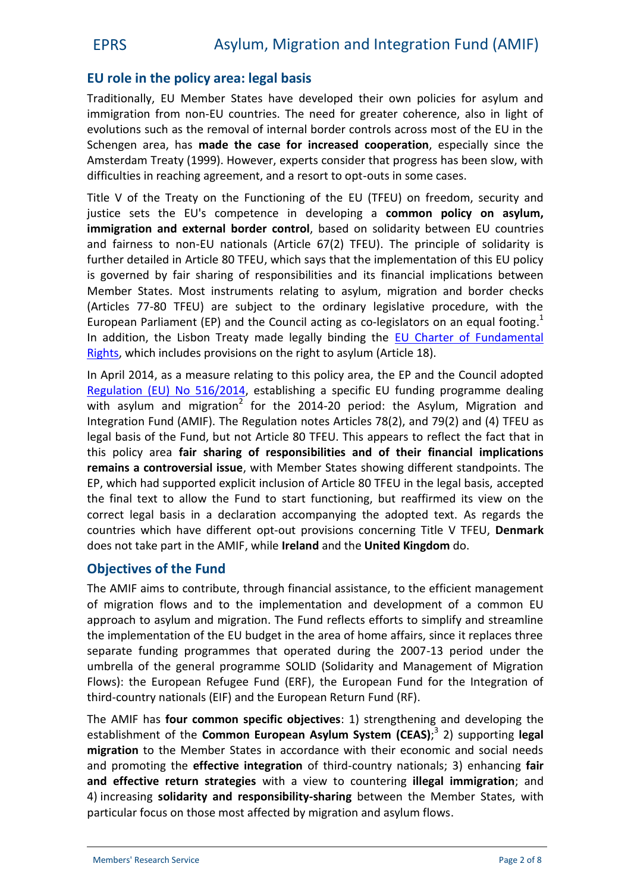## EU role in the policy area: legal basis

TraditionEdUMembeStatehsave developed their own policies for immigration fred th crown tries. The need for greater coherence evolutiosnuch as the removal of internal border controls acro  $S$ chengen arme $\bf{a}$ dehats e crasine of excosoperateis precially the ence Amsterdam  $T90$   $M$   $p$   $w$  evexperts consider that progress has been difficulties in reaching agreem ents ands ame scoast etso. opt

Title V of the Treaty on the EFU of To obliming ed to the security and justice sets the EU's  $d$ eemopleotop nocomeminon policy o,n asylum immigration external bord based normols olidarity between EU c and fairness E to maxing matiscle  $67(2)$ ThelpFFEnt chiples of biotrality is further det airlteid len 80 WFFiE Luit bay sthe implementation of this E is governed by fair sharing of t**sfersanomisailbiilm to eisc aat nodn**s betw Membe $\hat{\bm{\Theta}}$  ates Most in ments relation duration d border checks  $(A$ rticle  $\$$  07  $\pi$   $#$  E  $\omega$  by extending the subject to the ordinary legislative pro European Parliament (EP) and ctoheeg issolator containg . Lease use foot In addition, the Lisbon Treaty maEdue Chequatheyr boifndFiunged almeent  $R$ ighwshich incolucolesions on the right to asylum (Article 18).

In April, 2014 measure relating tothtehils Ppahioty thaore Caouncil ado Regulation No(5E1U6) 201e4s tablias spine gifid ub duing programme dealing with asylum and<sup>2</sup> frooirghrea2.Do1-220 periodhe Asylum, Migration an Integration FunTch of ARMeldFunion tieses anticles (2a) nd 79(2)  $\overline{a}$  FinEl U(4 $\overline{a}$  s legals the Fund, but not Article 80 TFEHLE. fact in appears this policyfa arresaharing obiliets posmost finde ir financial implications remains a controvew site in M issues as the ming different strandpoints. EP which had supported explicit inclusion of  $\triangle$  article bethe 800 TFE the finaltotael tow Fluentostart functionating affirmed its view on correct legal basis in a declaration accoAmspangyaing sthe eado countrwies chvelobifferent outprovisions concide on M Tun Fig. ark does not take part ivnhitheelaAnnModdFtUherited Kindgodom

## O b jectives Fouth othe

TheAMI aFims ctoon tributhtreough financia, It oa st shies teafrficee ient manageme of migration flows and to the implementation maderb develop approach sylum maing datil be Fund reflects efforts to simplify and streamling the  $\frac{1}{2}$ the implementation of the EU budget in the area of home af separate funding programmes that ople3rapted unodduering hethe 20 umbrella of the gener $\mathbf{S} \mathbf{O} \mathbf{D}$ (r $\mathbf{S} \mathbf{Q}$  Iriadma mity and Management of M Flows the European Refugee, Fhuenudro(pEeRaFn) Fund for the Integrat third ountry nationals  $t$  the  $\mathbf{E}$  bean Return Fund (RF)

TheAMIFfica sfour common specific 1struction engething in the inghenophen in the ingheric strengthend in the ingention in the  $\sim$ establishmentCoomfmt**be** European As(yCuEm $\hat{\mathcal{R}}$ SS) ysopopoinonglegal migration the Member States in accordance with their economic and proimophteeffective intenginalnic countum try nat3)dennahlainnigfair and effective returnvinshtraatevgieews to ngoibluengtaelriimmigamedion 4) increassionligidarity and responsibility bility and responsibility of the Member of Netwer States, particular ftchcousse on nost affected by migration and asylum flow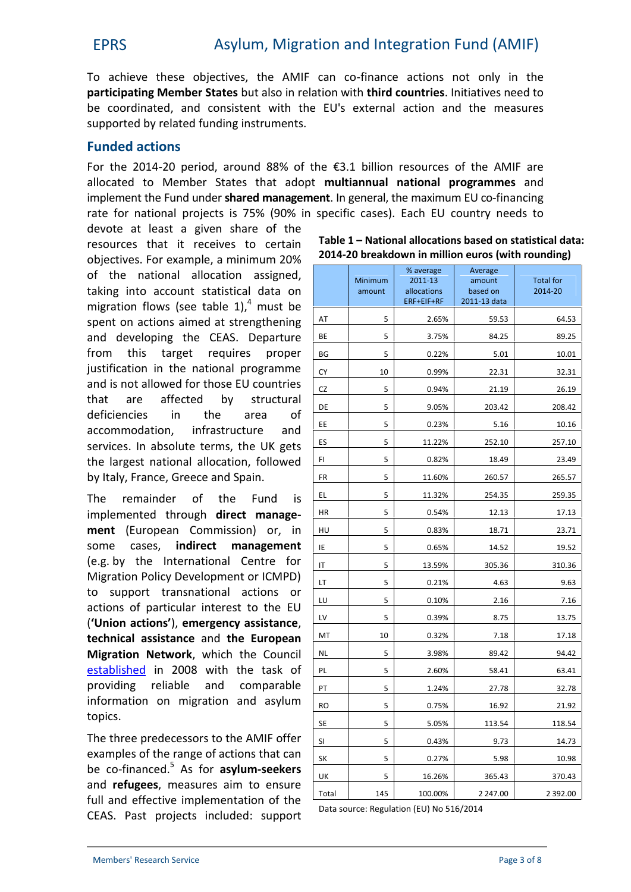To acchei these objectives, the in AMNcLeffican as out coonly in the participating Membbuetra\$instanteelsation himoridithcounkntiniesestives need to be coordineentde d consist he hilte wiEU's external acmionensuameds the supporter deat be you unding truments.

## Funded actions

For the  $-20$  1 $\beta$  eriod, around  $-633.$  billion rotes the AaMI eF allocated to Member Statmensitthanant munauted programmed mes implemen Fluthtobend osh ared managnement ral, the matximum uning  $U$  co rate for naptrional providents is 190% in specEaticino Eablsecson). Let of to devote at least share the

resour the att receit bessert and able National allocations based on statistical data: objectives  $\alpha$  example mum  $20\%$ <sup>1240</sup> breakdown in million euros

| national <b>a</b> bslogant<br>Minimu<br>20113<br>Total fo<br>amount<br>amour<br>allocati<br>based<br>201-20<br>$E$ RF+EIF<br>$20113 \text{ da}$<br>64.5<br>2.65<br>59.5<br>spent on aaciminemotal streng thening spent on aaciminemotors is the strength of<br>and $\det$ velopthe CEAD Seature BE<br>84.2<br>89.2<br>3.75<br>from ishtarget reesqupirropel вс<br>5<br>$0.22$<br>$5\,.\,0$<br>10.0<br>justification in the national<br>pro <sub>1</sub> grammes<br>22.3<br>32.3<br>and snot allowed for those $E_yU$ countries<br>21.7<br>26.1<br>that are affectesoluctouying<br>5<br>$9.05$<br>203.<br>$208.$<br>i n<br>the<br>'o f<br>area<br>10.1<br>$\int a \, h \, d^{0.23}$<br>$5.1$<br>accommodation, infrastructure<br>5<br>5<br>11.22<br>252.<br>257.<br>servidensabsolute hteerbogkse,tst <sup>ES</sup><br>18.4<br>0.82<br>23.4<br>the largest a bltdo a bilon, followed 5<br>by Italy, France, Greece and Spasin.<br>11.60<br>260.<br>265.<br>11.32<br>5<br>254.<br>259.<br>The remainoderthe Fuise<br>12.7<br>5<br>$0.54$<br>17.1<br>implementheroolugdhirect manhalgle<br>men (European Comonris shou)<br>5<br>0.83<br>18.7<br>23.7<br>some caseslirect management<br>0.65<br>14.5<br>19.5<br>(e.gy the International $\sqrt{6}$ entre $\sqrt{5}$ for $\sqrt{13.5}$<br>305.<br>310.<br>Migration Policy Development or <sub>5</sub><br>$\boxed{\mathsf{C}}$ M $\mathsf{P}_0$ $\mathsf{Q}$ $\}$<br>4.6<br>9.6<br>to suppottansnational actions<br>$\overline{O}$<br>0.10<br>2.1<br>7.1<br>actions of particular EnUerest to<br>lth e<br>$0.39$<br>8.7<br>13.7<br>(Union ao)țoèomesrgency as,s <del>is dnce 5</del><br>0.32<br>7.1<br>17.1<br>10<br>techomail assisalandtone Europelän<br>Migration N, ewint booth the Coun Motil<br>3.98<br>89.4<br>94.4<br>5<br>establisimed 20 0 w8th the task of<br>5<br>$2.60$<br>58.4<br>63.4<br>provinctgreliable and compparable<br>$1.24$<br>32.7<br>27.7<br>information on nmaigdataiosy $\frac{1}{6}$ $\mu$ m/<br>16.9<br>5<br>0.75<br>21.9<br>S E<br>113.<br>5<br>5.05<br>118.<br>Th the repered e ce sostones A Molf $Fe r_{S1}$<br>5<br>0.43<br>9.7<br>14.7<br>e x a m polé st haen g ea offict has t c $ a_{s}$ n<br>5<br>0.27<br>$5.9$<br>10.9<br>be $\vec{d}$ on an $\delta$ eAds for as y lusme eke $\overline{r_{0k}}$<br>16.26<br>365.<br>370.<br>5<br>andefugemesasures aim<br>to ensure<br>2247.<br>2392.<br>full and effective implementation of the 2247. 239 | O D J E C LIVELOSI E X abilitipule (il u ili <u>Z U 70</u> |  |         |        |  |
|-----------------------------------------------------------------------------------------------------------------------------------------------------------------------------------------------------------------------------------------------------------------------------------------------------------------------------------------------------------------------------------------------------------------------------------------------------------------------------------------------------------------------------------------------------------------------------------------------------------------------------------------------------------------------------------------------------------------------------------------------------------------------------------------------------------------------------------------------------------------------------------------------------------------------------------------------------------------------------------------------------------------------------------------------------------------------------------------------------------------------------------------------------------------------------------------------------------------------------------------------------------------------------------------------------------------------------------------------------------------------------------------------------------------------------------------------------------------------------------------------------------------------------------------------------------------------------------------------------------------------------------------------------------------------------------------------------------------------------------------------------------------------------------------------------------------------------------------------------------------------------------------------------------------------------------------------------------------------------------------------------------------------------------------------------------------------------------------------------------------------------------------------------------------------------------------------------------------------------------------------------------------------------------------------------------------------------------------------------------------------------------------------------------------------------------|------------------------------------------------------------|--|---------|--------|--|
|                                                                                                                                                                                                                                                                                                                                                                                                                                                                                                                                                                                                                                                                                                                                                                                                                                                                                                                                                                                                                                                                                                                                                                                                                                                                                                                                                                                                                                                                                                                                                                                                                                                                                                                                                                                                                                                                                                                                                                                                                                                                                                                                                                                                                                                                                                                                                                                                                                   | of the                                                     |  | % avera | Averag |  |
|                                                                                                                                                                                                                                                                                                                                                                                                                                                                                                                                                                                                                                                                                                                                                                                                                                                                                                                                                                                                                                                                                                                                                                                                                                                                                                                                                                                                                                                                                                                                                                                                                                                                                                                                                                                                                                                                                                                                                                                                                                                                                                                                                                                                                                                                                                                                                                                                                                   | taking into as tabissitical ond                            |  |         |        |  |
|                                                                                                                                                                                                                                                                                                                                                                                                                                                                                                                                                                                                                                                                                                                                                                                                                                                                                                                                                                                                                                                                                                                                                                                                                                                                                                                                                                                                                                                                                                                                                                                                                                                                                                                                                                                                                                                                                                                                                                                                                                                                                                                                                                                                                                                                                                                                                                                                                                   | migration (fsloewstab <sup>4</sup> lmenu1s)t               |  |         |        |  |
|                                                                                                                                                                                                                                                                                                                                                                                                                                                                                                                                                                                                                                                                                                                                                                                                                                                                                                                                                                                                                                                                                                                                                                                                                                                                                                                                                                                                                                                                                                                                                                                                                                                                                                                                                                                                                                                                                                                                                                                                                                                                                                                                                                                                                                                                                                                                                                                                                                   |                                                            |  |         |        |  |
|                                                                                                                                                                                                                                                                                                                                                                                                                                                                                                                                                                                                                                                                                                                                                                                                                                                                                                                                                                                                                                                                                                                                                                                                                                                                                                                                                                                                                                                                                                                                                                                                                                                                                                                                                                                                                                                                                                                                                                                                                                                                                                                                                                                                                                                                                                                                                                                                                                   |                                                            |  |         |        |  |
|                                                                                                                                                                                                                                                                                                                                                                                                                                                                                                                                                                                                                                                                                                                                                                                                                                                                                                                                                                                                                                                                                                                                                                                                                                                                                                                                                                                                                                                                                                                                                                                                                                                                                                                                                                                                                                                                                                                                                                                                                                                                                                                                                                                                                                                                                                                                                                                                                                   |                                                            |  |         |        |  |
|                                                                                                                                                                                                                                                                                                                                                                                                                                                                                                                                                                                                                                                                                                                                                                                                                                                                                                                                                                                                                                                                                                                                                                                                                                                                                                                                                                                                                                                                                                                                                                                                                                                                                                                                                                                                                                                                                                                                                                                                                                                                                                                                                                                                                                                                                                                                                                                                                                   |                                                            |  |         |        |  |
|                                                                                                                                                                                                                                                                                                                                                                                                                                                                                                                                                                                                                                                                                                                                                                                                                                                                                                                                                                                                                                                                                                                                                                                                                                                                                                                                                                                                                                                                                                                                                                                                                                                                                                                                                                                                                                                                                                                                                                                                                                                                                                                                                                                                                                                                                                                                                                                                                                   |                                                            |  |         |        |  |
|                                                                                                                                                                                                                                                                                                                                                                                                                                                                                                                                                                                                                                                                                                                                                                                                                                                                                                                                                                                                                                                                                                                                                                                                                                                                                                                                                                                                                                                                                                                                                                                                                                                                                                                                                                                                                                                                                                                                                                                                                                                                                                                                                                                                                                                                                                                                                                                                                                   |                                                            |  |         |        |  |
|                                                                                                                                                                                                                                                                                                                                                                                                                                                                                                                                                                                                                                                                                                                                                                                                                                                                                                                                                                                                                                                                                                                                                                                                                                                                                                                                                                                                                                                                                                                                                                                                                                                                                                                                                                                                                                                                                                                                                                                                                                                                                                                                                                                                                                                                                                                                                                                                                                   | deficiencies                                               |  |         |        |  |
|                                                                                                                                                                                                                                                                                                                                                                                                                                                                                                                                                                                                                                                                                                                                                                                                                                                                                                                                                                                                                                                                                                                                                                                                                                                                                                                                                                                                                                                                                                                                                                                                                                                                                                                                                                                                                                                                                                                                                                                                                                                                                                                                                                                                                                                                                                                                                                                                                                   |                                                            |  |         |        |  |
|                                                                                                                                                                                                                                                                                                                                                                                                                                                                                                                                                                                                                                                                                                                                                                                                                                                                                                                                                                                                                                                                                                                                                                                                                                                                                                                                                                                                                                                                                                                                                                                                                                                                                                                                                                                                                                                                                                                                                                                                                                                                                                                                                                                                                                                                                                                                                                                                                                   |                                                            |  |         |        |  |
|                                                                                                                                                                                                                                                                                                                                                                                                                                                                                                                                                                                                                                                                                                                                                                                                                                                                                                                                                                                                                                                                                                                                                                                                                                                                                                                                                                                                                                                                                                                                                                                                                                                                                                                                                                                                                                                                                                                                                                                                                                                                                                                                                                                                                                                                                                                                                                                                                                   |                                                            |  |         |        |  |
|                                                                                                                                                                                                                                                                                                                                                                                                                                                                                                                                                                                                                                                                                                                                                                                                                                                                                                                                                                                                                                                                                                                                                                                                                                                                                                                                                                                                                                                                                                                                                                                                                                                                                                                                                                                                                                                                                                                                                                                                                                                                                                                                                                                                                                                                                                                                                                                                                                   |                                                            |  |         |        |  |
|                                                                                                                                                                                                                                                                                                                                                                                                                                                                                                                                                                                                                                                                                                                                                                                                                                                                                                                                                                                                                                                                                                                                                                                                                                                                                                                                                                                                                                                                                                                                                                                                                                                                                                                                                                                                                                                                                                                                                                                                                                                                                                                                                                                                                                                                                                                                                                                                                                   |                                                            |  |         |        |  |
|                                                                                                                                                                                                                                                                                                                                                                                                                                                                                                                                                                                                                                                                                                                                                                                                                                                                                                                                                                                                                                                                                                                                                                                                                                                                                                                                                                                                                                                                                                                                                                                                                                                                                                                                                                                                                                                                                                                                                                                                                                                                                                                                                                                                                                                                                                                                                                                                                                   |                                                            |  |         |        |  |
|                                                                                                                                                                                                                                                                                                                                                                                                                                                                                                                                                                                                                                                                                                                                                                                                                                                                                                                                                                                                                                                                                                                                                                                                                                                                                                                                                                                                                                                                                                                                                                                                                                                                                                                                                                                                                                                                                                                                                                                                                                                                                                                                                                                                                                                                                                                                                                                                                                   |                                                            |  |         |        |  |
|                                                                                                                                                                                                                                                                                                                                                                                                                                                                                                                                                                                                                                                                                                                                                                                                                                                                                                                                                                                                                                                                                                                                                                                                                                                                                                                                                                                                                                                                                                                                                                                                                                                                                                                                                                                                                                                                                                                                                                                                                                                                                                                                                                                                                                                                                                                                                                                                                                   |                                                            |  |         |        |  |
|                                                                                                                                                                                                                                                                                                                                                                                                                                                                                                                                                                                                                                                                                                                                                                                                                                                                                                                                                                                                                                                                                                                                                                                                                                                                                                                                                                                                                                                                                                                                                                                                                                                                                                                                                                                                                                                                                                                                                                                                                                                                                                                                                                                                                                                                                                                                                                                                                                   |                                                            |  |         |        |  |
|                                                                                                                                                                                                                                                                                                                                                                                                                                                                                                                                                                                                                                                                                                                                                                                                                                                                                                                                                                                                                                                                                                                                                                                                                                                                                                                                                                                                                                                                                                                                                                                                                                                                                                                                                                                                                                                                                                                                                                                                                                                                                                                                                                                                                                                                                                                                                                                                                                   |                                                            |  |         |        |  |
|                                                                                                                                                                                                                                                                                                                                                                                                                                                                                                                                                                                                                                                                                                                                                                                                                                                                                                                                                                                                                                                                                                                                                                                                                                                                                                                                                                                                                                                                                                                                                                                                                                                                                                                                                                                                                                                                                                                                                                                                                                                                                                                                                                                                                                                                                                                                                                                                                                   |                                                            |  |         |        |  |
|                                                                                                                                                                                                                                                                                                                                                                                                                                                                                                                                                                                                                                                                                                                                                                                                                                                                                                                                                                                                                                                                                                                                                                                                                                                                                                                                                                                                                                                                                                                                                                                                                                                                                                                                                                                                                                                                                                                                                                                                                                                                                                                                                                                                                                                                                                                                                                                                                                   |                                                            |  |         |        |  |
|                                                                                                                                                                                                                                                                                                                                                                                                                                                                                                                                                                                                                                                                                                                                                                                                                                                                                                                                                                                                                                                                                                                                                                                                                                                                                                                                                                                                                                                                                                                                                                                                                                                                                                                                                                                                                                                                                                                                                                                                                                                                                                                                                                                                                                                                                                                                                                                                                                   |                                                            |  |         |        |  |
|                                                                                                                                                                                                                                                                                                                                                                                                                                                                                                                                                                                                                                                                                                                                                                                                                                                                                                                                                                                                                                                                                                                                                                                                                                                                                                                                                                                                                                                                                                                                                                                                                                                                                                                                                                                                                                                                                                                                                                                                                                                                                                                                                                                                                                                                                                                                                                                                                                   |                                                            |  |         |        |  |
|                                                                                                                                                                                                                                                                                                                                                                                                                                                                                                                                                                                                                                                                                                                                                                                                                                                                                                                                                                                                                                                                                                                                                                                                                                                                                                                                                                                                                                                                                                                                                                                                                                                                                                                                                                                                                                                                                                                                                                                                                                                                                                                                                                                                                                                                                                                                                                                                                                   |                                                            |  |         |        |  |
|                                                                                                                                                                                                                                                                                                                                                                                                                                                                                                                                                                                                                                                                                                                                                                                                                                                                                                                                                                                                                                                                                                                                                                                                                                                                                                                                                                                                                                                                                                                                                                                                                                                                                                                                                                                                                                                                                                                                                                                                                                                                                                                                                                                                                                                                                                                                                                                                                                   |                                                            |  |         |        |  |
|                                                                                                                                                                                                                                                                                                                                                                                                                                                                                                                                                                                                                                                                                                                                                                                                                                                                                                                                                                                                                                                                                                                                                                                                                                                                                                                                                                                                                                                                                                                                                                                                                                                                                                                                                                                                                                                                                                                                                                                                                                                                                                                                                                                                                                                                                                                                                                                                                                   |                                                            |  |         |        |  |
|                                                                                                                                                                                                                                                                                                                                                                                                                                                                                                                                                                                                                                                                                                                                                                                                                                                                                                                                                                                                                                                                                                                                                                                                                                                                                                                                                                                                                                                                                                                                                                                                                                                                                                                                                                                                                                                                                                                                                                                                                                                                                                                                                                                                                                                                                                                                                                                                                                   |                                                            |  |         |        |  |
|                                                                                                                                                                                                                                                                                                                                                                                                                                                                                                                                                                                                                                                                                                                                                                                                                                                                                                                                                                                                                                                                                                                                                                                                                                                                                                                                                                                                                                                                                                                                                                                                                                                                                                                                                                                                                                                                                                                                                                                                                                                                                                                                                                                                                                                                                                                                                                                                                                   | topi.cs                                                    |  |         |        |  |
|                                                                                                                                                                                                                                                                                                                                                                                                                                                                                                                                                                                                                                                                                                                                                                                                                                                                                                                                                                                                                                                                                                                                                                                                                                                                                                                                                                                                                                                                                                                                                                                                                                                                                                                                                                                                                                                                                                                                                                                                                                                                                                                                                                                                                                                                                                                                                                                                                                   |                                                            |  |         |        |  |
|                                                                                                                                                                                                                                                                                                                                                                                                                                                                                                                                                                                                                                                                                                                                                                                                                                                                                                                                                                                                                                                                                                                                                                                                                                                                                                                                                                                                                                                                                                                                                                                                                                                                                                                                                                                                                                                                                                                                                                                                                                                                                                                                                                                                                                                                                                                                                                                                                                   |                                                            |  |         |        |  |
|                                                                                                                                                                                                                                                                                                                                                                                                                                                                                                                                                                                                                                                                                                                                                                                                                                                                                                                                                                                                                                                                                                                                                                                                                                                                                                                                                                                                                                                                                                                                                                                                                                                                                                                                                                                                                                                                                                                                                                                                                                                                                                                                                                                                                                                                                                                                                                                                                                   |                                                            |  |         |        |  |
|                                                                                                                                                                                                                                                                                                                                                                                                                                                                                                                                                                                                                                                                                                                                                                                                                                                                                                                                                                                                                                                                                                                                                                                                                                                                                                                                                                                                                                                                                                                                                                                                                                                                                                                                                                                                                                                                                                                                                                                                                                                                                                                                                                                                                                                                                                                                                                                                                                   |                                                            |  |         |        |  |
|                                                                                                                                                                                                                                                                                                                                                                                                                                                                                                                                                                                                                                                                                                                                                                                                                                                                                                                                                                                                                                                                                                                                                                                                                                                                                                                                                                                                                                                                                                                                                                                                                                                                                                                                                                                                                                                                                                                                                                                                                                                                                                                                                                                                                                                                                                                                                                                                                                   |                                                            |  |         |        |  |
|                                                                                                                                                                                                                                                                                                                                                                                                                                                                                                                                                                                                                                                                                                                                                                                                                                                                                                                                                                                                                                                                                                                                                                                                                                                                                                                                                                                                                                                                                                                                                                                                                                                                                                                                                                                                                                                                                                                                                                                                                                                                                                                                                                                                                                                                                                                                                                                                                                   | CEAS. Pracsite cts in clsucopepoo                          |  |         |        |  |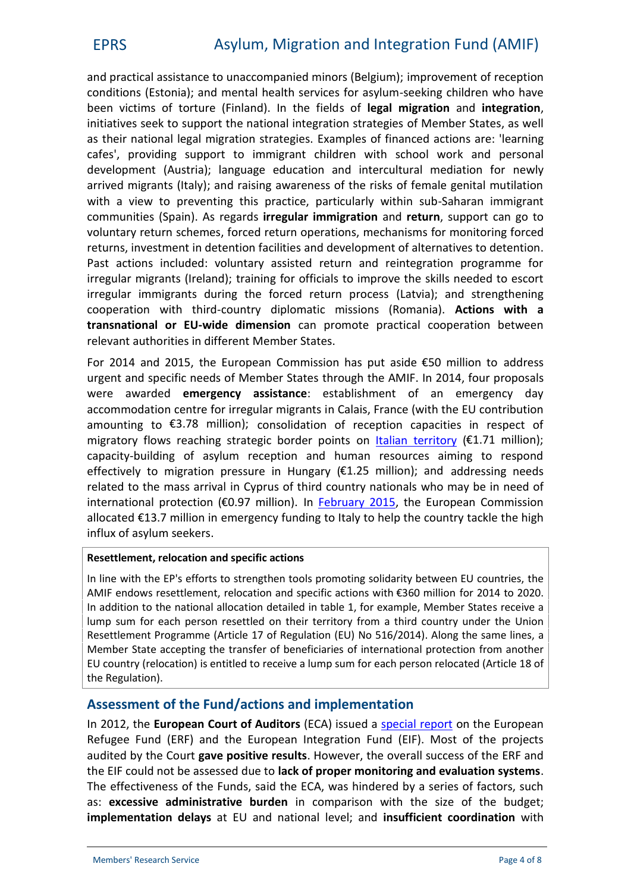and practical assistance to unaccomimpanoied mineminato engit (B nelgium) conditi(dEnsstonia)meantell health servieseese kforrigas byliudmen who have been victims of torture (Finsbafhedg). Ilm i**tghraent dionet le**dgra,tion initiatives ssuepeck to the national integration of Member g Suest well as threaitional legal migratEo camps storefatfeige action and the are:'tlien arening cafesp' rovidisnup port to immigrant children wintch psecthscoonlalwor developm(Anutstria); guage education and intercunitum by media arrived migrantas (Itraaliys) ing awareness of the risks of female with a viepwre-toweimgthsi practice, particula-Sslayh.anwriał mimnigsnualcht communi(tSspessiAns) regastrion regular immaignombettion, nonsuppocenti go to voluntary return fostocheed meesturn oppoencahtaion nifosom son ito formonie d retus; nn venset mindetention af a **d**ielivte broepent ad ternatives to detention Past as incordedd orduntary assisted return and reintegration irregunhaigrants (Itealaminido) goffitooiailmsprove the skills needed to irregular immigrants during the f(baoteida)retaunron sptrroeonegstsheni cooperation widdounthriyd diplomatic missions ion Rsomwanhia)a  $transnation$  alwiddre EdU mension nomote practical cooperation between  $\mathbf{c}$ relevant authorities eimplo<del>es</del>infifeerse nt M

For2014and 2.0th 5 buropean Commission has put ignoration to a control to a control to a control to a mode ss urgent and specific needstbfoMembleeln&htM20hFossupropossal wereawardeed mergenacsy sistance stablishment of an emergency accommodation centre for **irr@gludies**, mFirgame and solution the EU contribution of amounting  $3t\bar{a}8$  mil $b$ ionns)  $\circ$  loid autire ception capacities in respe migratory flows reaching stractually and integent  $\phi$  of integrillion); capacity ding of asylum reception and human resources effectively to migration presisu2r5e milliHoume)dochreensoof needs related to the mianGsyparursivoafi third counwthrom anya thioen ian laneed of international p<del>r</del>oot.@o7timonillion<mark>bebruary, 2015 firopeCaonm</mark>mission allocate-d13.7 millemo-enrojne fund ydinog italy help the toacock righter the high influx asyflum seekers

Resettle, meel notcatain ond specific actions

In line twiethEP's efforts to strengthen tools promoting the plidarity between EU countries, the EU countries, A MIF endepowers the ment, relocation anwidth  $\beta \hat{\theta}$  on if midification  $\hat{a}$  on  $\hat{a}$   $\hat{a}$   $\hat{a}$   $\hat{a}$   $\hat{c}$   $\hat{c}$ In addition to the national allocation detailed instable  $\psi$  t, a for example. lump sum for each peorsatch resettle ontheird country the Union Resettlement P( $A$ gtiachemet 7 of RELLA) Nobalt 602014) ong the same lines, Member Staten guide exports 6 eitre ne file issufrinternational from onteaction her EU countrienty ocatiso entitlineed eto ve a lufmorp essumming erson (Artentinocle tote) of the Regulation).

## AssessmeheFund  $\epsilon$  tio and implementation

In 2011, het European Court of ECA) i**s is to [special r](http://www.eca.europa.eu/Lists/News/NEWS1212_11/NEWS1212_11_EN.PDF)epothter oF** pean RefugeFuend(ERFand thueroEpebantegratFuomd(EI.F) Most of the projects audited by thgeavGeopotsitiveHoewseuvtoenee, ovlessanccessEoRfFthaoend the EcbFuld not be asselase dof up of poer monitoring and evaluation The effectiveness of  $dt$  the  $E$   $G$   $A$ ds  $\psi$  assa hindered by a series of as  $excessive$  administrative on padesnothe swith  $e$  of bundeq et; implementationat  $E$  delays  $d$  sation level; ian reduction to o owrid timation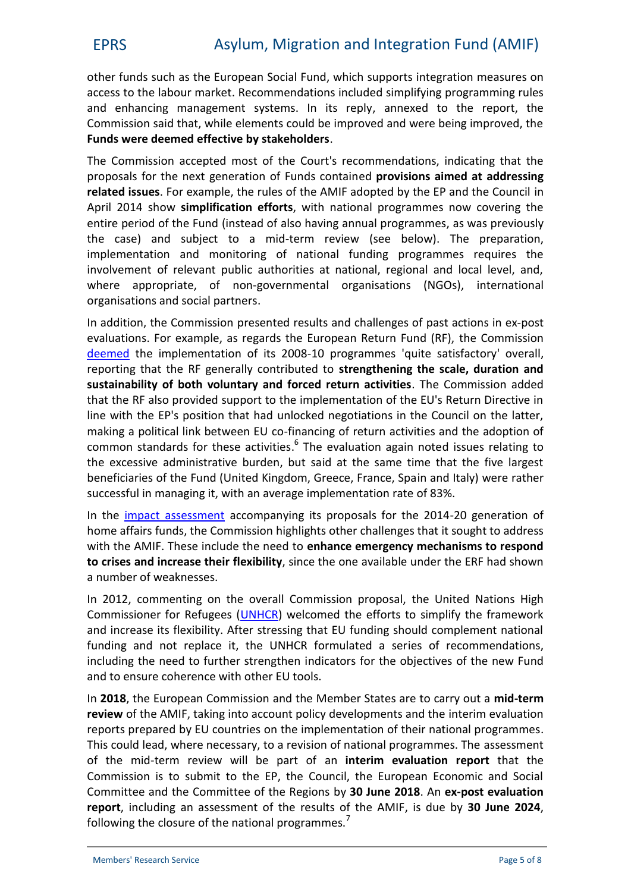other fuspurch a EuropeSpuri Fulnd which supportent and measures on access to the laboRuerconmannkeent datiodssiming include general ming rules and enhancing management sy, salen mes xeddinities reeppolyt, the Commisssion that, while elements could be improved and were Funds were deemed effective by stakeholders .

The of Commission atend most the Concription and ations, indicating the Theory and the Court's recommendations, indicating the proposals for the next generated provision manuscal conductivities in q  $related$  is sures  $x$  ample, the rules of the AMIF adopted by the April 2 havimplis ation efworths national programmes now cover entire period of intshtee aFeulnsobla ving annual praosgrwamansm.perse viously the casend subject to term mriedview (see Thebelporwe) paration, implementation and monotroalngunoding atorrogrammes require involvement ntelevant public authorities at national, regional where approprianto engovee frnmental organisations rnations ( $\Omega$ as) organisations and social partners .

In addition, the Comesments bid paesult the past actine roso st evaluatioFros example, as regards the Eurtchpee aCnomRmentius and Fund [deem](http://eur-lex.europa.eu/legal-content/EN/TXT/?qid=1425287197739&uri=CELEX:52014DC0230)eble implementation-1of pits q 2008 and the satisfoance band reporti that the RF generallsy treeonot this uide scale, duration sustainability of both voluntary and ThioneCocendins nseibun nadadcet by itie that the Isporovided support to the implementation of the EU' line with the EP's positioum that had the distributions in the Council on the latter on the Council of the latter on the latter on the latter on the latter on the latter on the latter on the latter on the latter on the lat making a political link fibeneunceine on Enf $\mathbf 0$  retenus manaction betiadoption of common standards for  $\mathfrak h$  The bee exactivations daigs not imes a creed ating to the excessive administratident bunden, butime that the five beneficiaries of the Fund (United Kingdamd, WGerlegeacheerFrance, successful in mawiahuia unita qe implementa 31% n rate

In ht[eimpact asse](http://eur-lex.europa.eu/LexUriServ/LexUriServ.do?uri=CELEX:52011SC1358:EN:NOT)assoro emptanying its propos-2a0s gfeorre that eio 2n0 104 home afffuanidss, the Coming his ison highlight allenges that it sought to a with the AMIF. These incelum detachine emergency of the net anisms to respond to the  $s$ to crisseed increasfee thing. Their flux cee other allable under the ERF had a number of weaknesses.

In 2012, 2010 mmenting on the overall CothmenisUsnin black formosol stiad in Commissioner for **Net Curred eset of the detect of the framework** commissioner for Net Refugees of the framework and increase its flexibility. After stressing that EU funding funding and not replace it, the UNHSCR ffoercroumlantend dationes including the need to funtchies atsotmishen decoptifiear to identicative the new Fund and to ensuerenco with other EU tools.

In201,8he European C**amothieMseimob**er States are tho idcomininy out a reviewf thAeMP, taking into account policy di**ever** tomp meevnatisus anation th reposrtprepaby eoEU count tilos implementation of their national Thics ould ad, where necessary, to a revision cafs  $s$  as isomment the roginal programment programment programment programment programment programment programment programment programment programment programment programmen of the term review will beenippteartim of evaluation hat aport Commission is to submit to the EP, the Council, the Euro Committee and the Committee of Julie Regions evaluation report includian assessment of the reisultuse  $30$  vultue eAMOP 4 following the closure of the national programmes.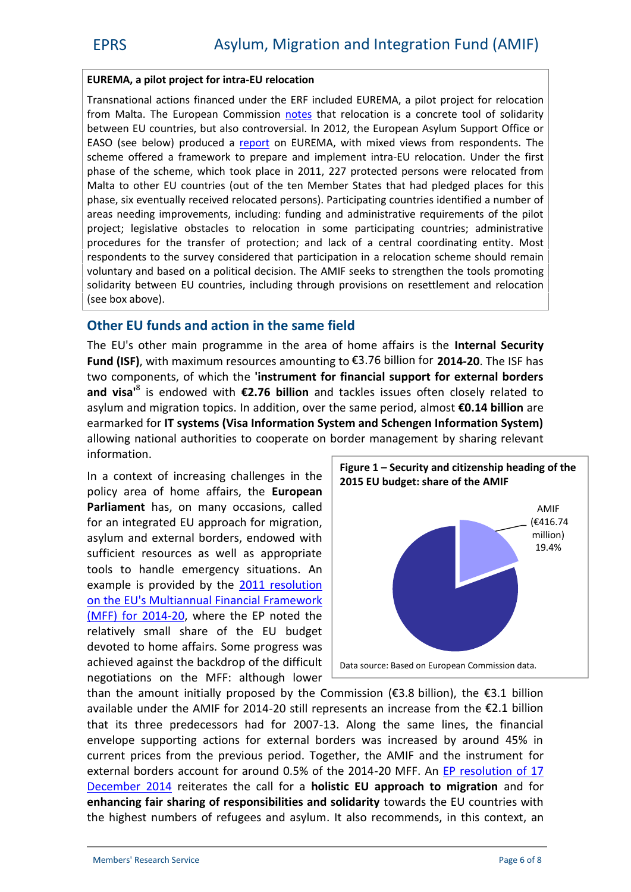## EUREMA, a pilfootiptra ejecto cation

Transnational actions finEaRnFceidonduEndublRe EMIAe a pilot protije ont for relo from MaTht**a.** Lue ope@commis[sion](http://eur-lex.europa.eu/LexUriServ/LexUriServ.do?uri=CELEX:52013DC0422:EN:NOT)etshate. Inocation is a concrete tool of so betwe Eb count biets also contro 20 frs European Asylum Support Office EAS (Gree beplow) uce relepzooth EUREMA, with mixed views Thisom respo scheme ffered a framework tomplreement -Eabhtotraeilocation. Under the fi phase of the such the dome place  $i$   $\geq$   $2$  0  $\mu$  notected persons were relocated from  $\alpha$ Malta to other EU countries (out of the ten Membert Sitsates that phases ix eventually elroeccaetieved chersons). Participating countries ider arease ediimpprovements, including: funding and administrative requirements of the pilot of the pilot of the p projectinislative obstacles to relocation in some participating proedures for the transfer and  $\theta$  contectional coordination  $\theta$  sentity respondents to the survey consideareal orthat participate iosh onld rem voluntary and based on a political decisionheThte  $p$ AsMinheThise open to solidarity between EU cnogulmrtoruggsh, pincoluissions atloemment and relocation  $(see$  bboye

## Other fundstand action the same field

The U'ssther main programme in the areal of ehmo and e Sectionarits is  $F$ un(d S,  $\overline{w}$ ) ithmaximum responduoton to  $3.76$  bill  $20$ n for  $20$  rThe ISF has two components,  $e'$  inwshich that for financial support for external borders and the external borders and a borders and  $v^{\delta}$ issa'endowed  $2w$  716h bialhi**o**lntaciksles ensiften closely related t asylum and migrathrio and thoin bionesor, the sameal pheorision. 4 bialtieon earmarked fsows tel/missa Information System and Schengen Infor allowing national authorities to cooperbyes on arbong dreal envanting information .

In a context of increasmither  $\frac{1}{2}$   $\frac{1}{2}$   $\frac{1}{2}$   $\frac{1}{2}$   $\frac{1}{2}$   $\frac{1}{2}$   $\frac{1}{2}$   $\frac{1}{2}$  $policy$  area of home Euanfolopiers and the  $\overline{E}$  $P$ arliamheanst, on many occadalos dons, for an inteEqU a  $a \oplus \phi$  roam on  $f$  arion, asyluam obexternal b, o eonhedro swed with sufficient resources as well as  $a$ tools to handle emergen&g situal example is provided 1 by estoleution on the U's Multiannual Financial Fr ( $MFF$ ) for  $20$   $W$  heter the EP noted the relatively small share of the  $EU$ devoted to home affoacines.  $S\sim$  over pr achieved against the backdr $\rho_a$ Pa $_a$ os $_b$ utbe plasticulteuropean Commission data. negotiat**oons** be MFF: althou<del>gh lower</del> than the amount initially proposed 3.16by Ilibea) $\beta$  and  $\theta$  helomove ( available under the -**2.0MIs** fti**l** brre2p0r1e4s ents anhen 2 r&e absielliforom t that its three predecessol 3. had bon for the OST ame lines, the f envelope supporting actions for external borders was inc current prices from the previous period. Togethfear, the AM external borders account for ar $e$ 20m om BDF.  $\overline{5}$   $\overline{7}$  method of  $4$  for  $17$  $D$ ecember  $r$ e $\hat{a}$   $\hat{a}$   $\hat{e}$   $\hat{a}$  at es the boallistic  $\hat{a}$  but approach and migration enhancing fair sharing of respon**tsolwiairtoise** sthem dEUs od boduantintives w the highest numbers of refulgtees and capen multamined scoantext  $Figure S$   $\mathbf{\hat{e}}$  curity and citizenship 2 ປ ዋ 5 ' ቺ 'ሀ 9 b d d g e t h ଈ hAaM ol Fo f AMIF  $(-416.7$ million) 19.4%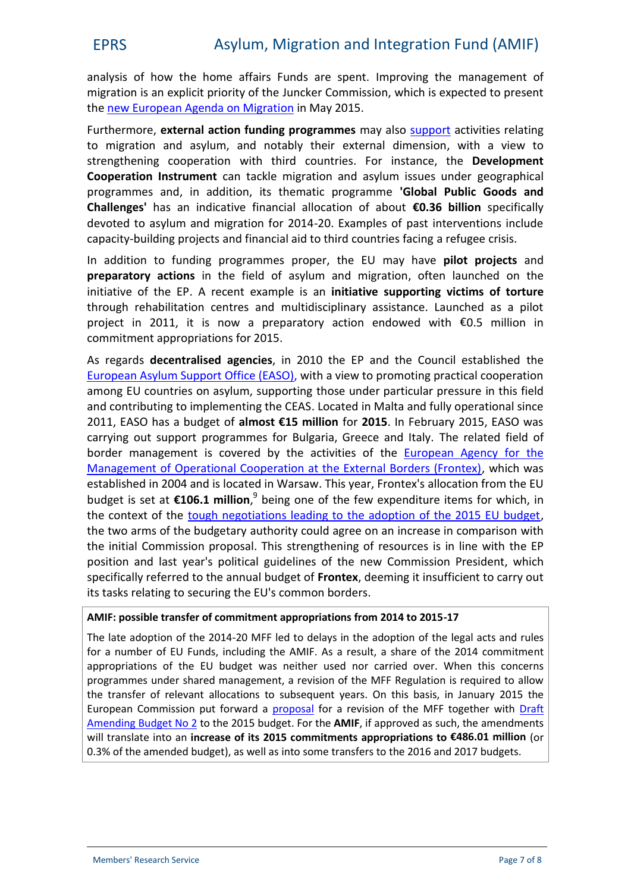analysis of hehohwomte affairs Fundishparpeyins.omeanhieteenent of migration is an expliciltum **ckeer in your independent is** expected to prest thenew European Agenodia no May ignatis.

Furthermeoxntoe, rnal action funding napyroag<mark>s name manetts</mark>ivsitiroe lating to migration and asylum, aenxottemontablo intervinent view to strengthening cowoipteratthiond colentinies and the evelopment Cooperation Instamumt angulariation and asyled on raiged is incertained under geographic algement along the cooperation instances under  $C$ programmeneds, in addition, its theml&anticcbaptricPouraGmomo**e**ls and Challen mess' an indicative financial all. G36 a thioshpieconfifiad souluy. devoted to asylum and miagor that in the 2001 past interventions capaebity Iding paonideinancial aid to third acoruenturgies taristinsqu

Inaddititoon fundpinggram pomeosp, enthe Eubly hap vieo t projectoots preparatory  $arctb$ nes field of yl $arctm$  and  $m$  in opfatelino nlaunched onthe  $\overline{c}$ initiative of Athree cEnePh $x$  tam pisenainitiatsivuopportvinco $t$ imo fstorture through rehabilitation cuttidiscipal indary assistance. Launche project in 2011, it is now a preparato+Cy.5 acmtiblion endnowe commitment appropriations for 2015.

A sregards decentralists multimes 2010 the EP and the Comumencil esta [European Asylum Suppo](http://easo.europa.eu/)wtit@faiovee (WEASO) omoting practical co among EU countries on astly busumen, doen poppoornttionud ainn ptrheiss suireeld and contributing to implemention the CEAS fully operational  $2011$ , EASO has albouds of  $\overline{5}$  the infillion of  $1.5$  m February 2015, EASO was carrying out support programmes for BTb eganetika thie Godfeece and border managisemceonvtereton ebyactivittines Euonfopean Agency for th [Management of Operational Cooperation at](http://frontex.europa.eu/) the Enternal Bo establisht2e0o0a4nd is located inThWsarysea awr, aFlrl**opaekos** from the EU budgiest set 1a006.1 m<sup>9</sup>ibleionogne tohfe few expendiforrewihteomhs the context toughthe negotiations leading to the adoption of the the two arms of the authologiest agould agree on an invocint chase in c the initial Commissions to reonogot backlin To higheristic resolution and the P position laastdy epacr" istical quidelinnee wComf mt heePircenside witch specificald w doelferannual budgette of from iting sufficient to carry out it stassk relatisneg ctuortinneg 'Es U common borders

AMIF: possible transfer of commitment appropriations from 2014

The late adoption-200f MHF eFd1200d4lays in the fatchceptlieognal acts and rule fora number of  $E$ UnEuunddisng the ASA aMIInFeassultia, rehet 12014 com $t$ mitme appropriations of the asEnlel itchuneds genetionw carried Wolve on his concerns programmes under shared management, a revision of the MFF Regulation the trancestion attions to subsequent allocation  $2015$  the EuropeCaommission put pforgwoastochd aan revision of For Froighether Dwiatht Amending Boudgethe 2015 Found of held I, Friapproved absent smendments will translatein cortecase en 2 $\alpha$ 011 Fot scomemmitts mappropriations of  $\alpha$  6.01 or  $\alpha$  id tion  $0.3\%$  of the amended budget imeas rasmes to the into the and 2017 budgets.